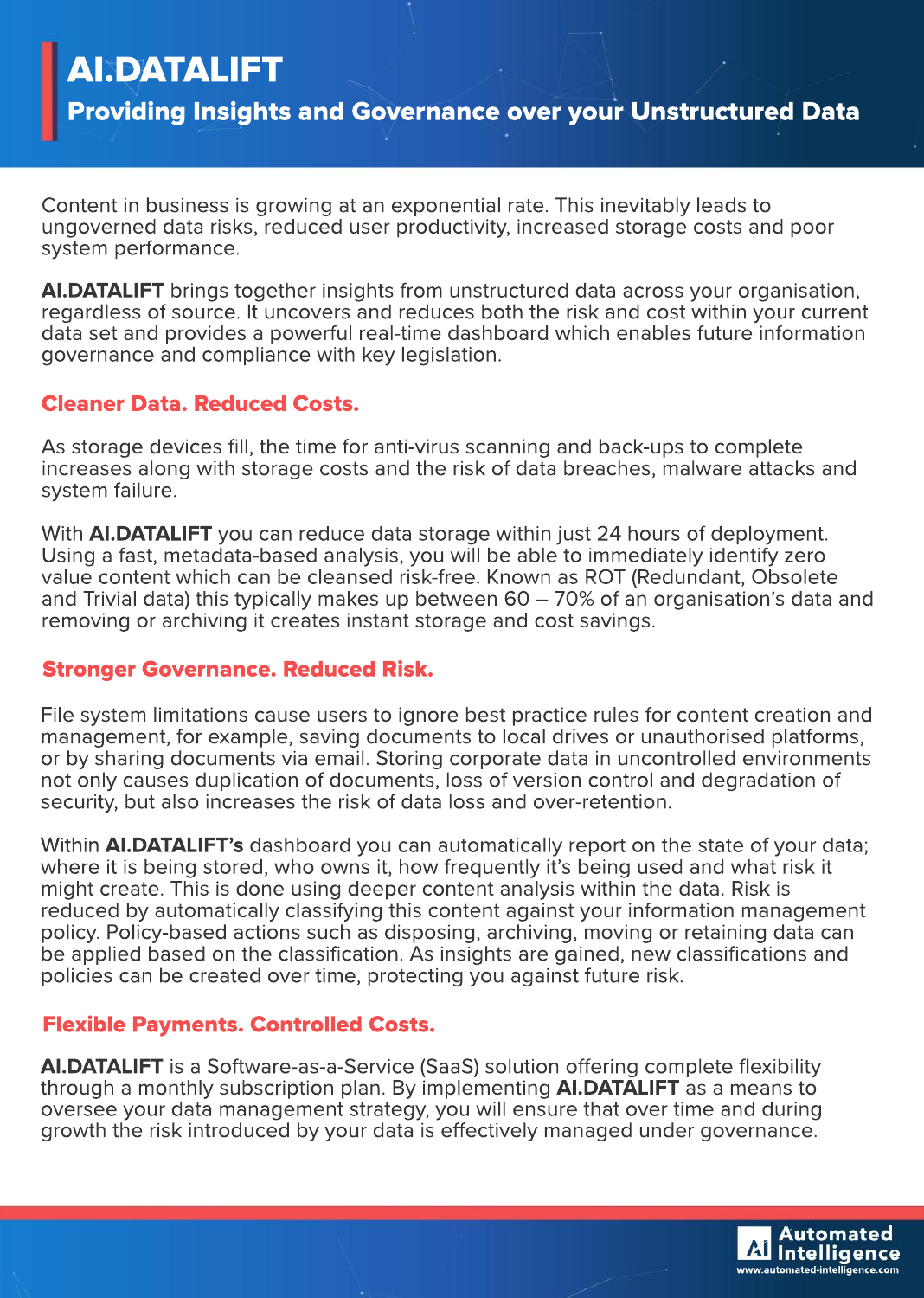# AI.DATALIFT

Providing Insights and Governance over your Unstructured Data

Content in business is growing at an exponential rate. This inevitably leads to ungoverned data risks, reduced user productivity, increased storage costs and poor system performance.

**AI.DATALIFT** brings together insights from unstructured data across your organisation, regardless of source. It uncovers and reduces both the risk and cost within your current data set and provides a powerful real-time dashboard which enables future information governance and compliance with key legislation.

## **Cleaner Data. Reduced Costs.**

As storage devices fill, the time for anti-virus scanning and back-ups to complete increases along with storage costs and the risk of data breaches, malware attacks and system failure.

With **AI.DATALIFT** you can reduce data storage within just 24 hours of deployment. Using a fast, metadata-based analysis, you will be able to immediately identify zero value content which can be cleansed risk-free. Known as ROT (Redundant, Obsolete and Trivial data) this typically makes up between  $60-70\%$  of an organisation's data and removing or archiving it creates instant storage and cost savings.

### **Stronger Governance. Reduced Risk.**

File system limitations cause users to ignore best practice rules for content creation and management, for example, saving documents to local drives or unauthorised platforms, or by sharing documents via email. Storing corporate data in uncontrolled environments not only causes duplication of documents, loss of version control and degradation of security, but also increases the risk of data loss and over-retention.

Within **AI.DATALIFT's** dashboard you can automatically report on the state of your data; where it is being stored, who owns it, how frequently it's being used and what risk it might create. This is done using deeper content analysis within the data. Risk is reduced by automatically classifying this content against your information management policy. Policy-based actions such as disposing, archiving, moving or retaining data can be applied based on the classification. As insights are gained, new classifications and policies can be created over time, protecting you against future risk.

## **Flexible Payments. Controlled Costs.**

AI.DATALIFT is a Software-as-a-Service (SaaS) solution offering complete flexibility through a monthly subscription plan. By implementing **AI.DATALIFT** as a means to oversee your data management strategy, you will ensure that over time and during growth the risk introduced by your data is effectively managed under governance.